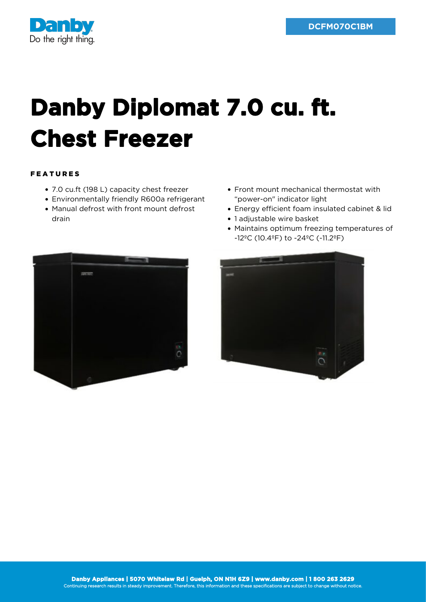

## **Danby Diplomat 7.0 cu. ft. Chest Freezer**

## FEATURES

- 7.0 cu.ft (198 L) capacity chest freezer
- Environmentally friendly R600a refrigerant
- Manual defrost with front mount defrost drain
- Front mount mechanical thermostat with "power-on" indicator light
- Energy efficient foam insulated cabinet & lid
- 1 adjustable wire basket
- Maintains optimum freezing temperatures of -12ºC (10.4ºF) to -24ºC (-11.2ºF)